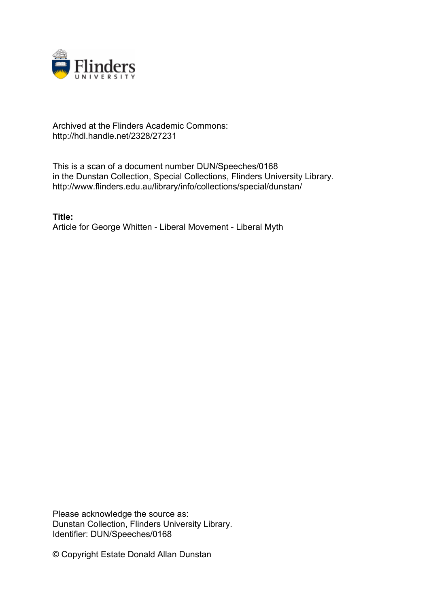

## Archived at the Flinders Academic Commons: http://hdl.handle.net/2328/27231

This is a scan of a document number DUN/Speeches/0168 in the Dunstan Collection, Special Collections, Flinders University Library. http://www.flinders.edu.au/library/info/collections/special/dunstan/

**Title:** Article for George Whitten - Liberal Movement - Liberal Myth

Please acknowledge the source as: Dunstan Collection, Flinders University Library. Identifier: DUN/Speeches/0168

© Copyright Estate Donald Allan Dunstan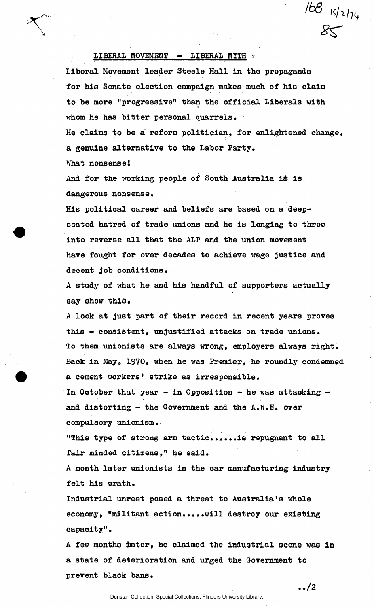## LIBERAL MOVEMENT - LIBERAL MYTH  $*$

Liberal Movement leader Steele Hall In the propaganda for his Senate election campaign makes much of his claim to be more "progressive" than the official Liberals with whom he has bitter personal quarrels.

He claims to be a reform politician, for enlightened change, a genuine alternative to the Labor Party.

What nonsense!

And for the working people of South Australia i& is dangerous nonsense.

His political career and beliefs are based on a deepseated hatred of trade unions and he is longing to throw into reverse all that the ALP and the union movement have fought for over decades to achieve wage justice and decent job conditions.

A study of what he and his handful of supporters actually say show this.

A look at just part of their record in recent years proves this - consistent, unjustified attacks on trade unions. To them unionists are always wrong, employers always right. Back in May, 1970, when he was Premier, he roundly condemned a cement workers' strike as irresponsible.

In October that year - in Opposition - he was attacking and distorting - the Government and the  $A.W.\n\nabla.$  over compulsory unionism.

"This type of strong arm tactic......is repugnant to all fair minded citizens," he said.

A month later unionists in the car manufacturing industry felt his wrath.

Industrial unrest posed a threat to Australia's whole economy, "militant action.....will destroy our existing capacity".

A few months ihater, he claimed the industrial scene was in a state of deterioration and urged the Government to prevent black bans.

**../2** 

 $\frac{168}{85}$ 

Dunstan Collection, Special Collections, Flinders University Library.